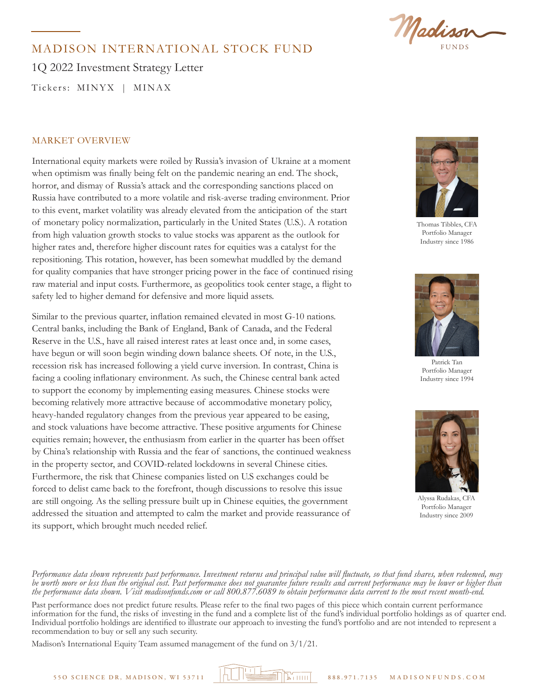

## MADISON INTERNATIONAL STOCK FUND

1Q 2022 Investment Strategy Letter

Tickers: MINYX | MINAX

### MARKET OVERVIEW

International equity markets were roiled by Russia's invasion of Ukraine at a moment when optimism was finally being felt on the pandemic nearing an end. The shock, horror, and dismay of Russia's attack and the corresponding sanctions placed on Russia have contributed to a more volatile and risk-averse trading environment. Prior to this event, market volatility was already elevated from the anticipation of the start of monetary policy normalization, particularly in the United States (U.S.). A rotation from high valuation growth stocks to value stocks was apparent as the outlook for higher rates and, therefore higher discount rates for equities was a catalyst for the repositioning. This rotation, however, has been somewhat muddled by the demand for quality companies that have stronger pricing power in the face of continued rising raw material and input costs. Furthermore, as geopolitics took center stage, a flight to safety led to higher demand for defensive and more liquid assets.

Similar to the previous quarter, inflation remained elevated in most G-10 nations. Central banks, including the Bank of England, Bank of Canada, and the Federal Reserve in the U.S., have all raised interest rates at least once and, in some cases, have begun or will soon begin winding down balance sheets. Of note, in the U.S., recession risk has increased following a yield curve inversion. In contrast, China is facing a cooling inflationary environment. As such, the Chinese central bank acted to support the economy by implementing easing measures. Chinese stocks were becoming relatively more attractive because of accommodative monetary policy, heavy-handed regulatory changes from the previous year appeared to be easing, and stock valuations have become attractive. These positive arguments for Chinese equities remain; however, the enthusiasm from earlier in the quarter has been offset by China's relationship with Russia and the fear of sanctions, the continued weakness in the property sector, and COVID-related lockdowns in several Chinese cities. Furthermore, the risk that Chinese companies listed on U.S exchanges could be forced to delist came back to the forefront, though discussions to resolve this issue are still ongoing. As the selling pressure built up in Chinese equities, the government addressed the situation and attempted to calm the market and provide reassurance of its support, which brought much needed relief.



Thomas Tibbles, CFA Portfolio Manager Industry since 1986



Patrick Tan Portfolio Manager Industry since 1994



Alyssa Rudakas, CFA Portfolio Manager Industry since 2009

*Performance data shown represents past performance. Investment returns and principal value will fluctuate, so that fund shares, when redeemed, may be worth more or less than the original cost. Past performance does not guarantee future results and current performance may be lower or higher than the performance data shown. Visit madisonfunds.com or call 800.877.6089 to obtain performance data current to the most recent month-end.* 

Past performance does not predict future results. Please refer to the final two pages of this piece which contain current performance information for the fund, the risks of investing in the fund and a complete list of the fund's individual portfolio holdings as of quarter end. Individual portfolio holdings are identified to illustrate our approach to investing the fund's portfolio and are not intended to represent a recommendation to buy or sell any such security.

Madison's International Equity Team assumed management of the fund on 3/1/21.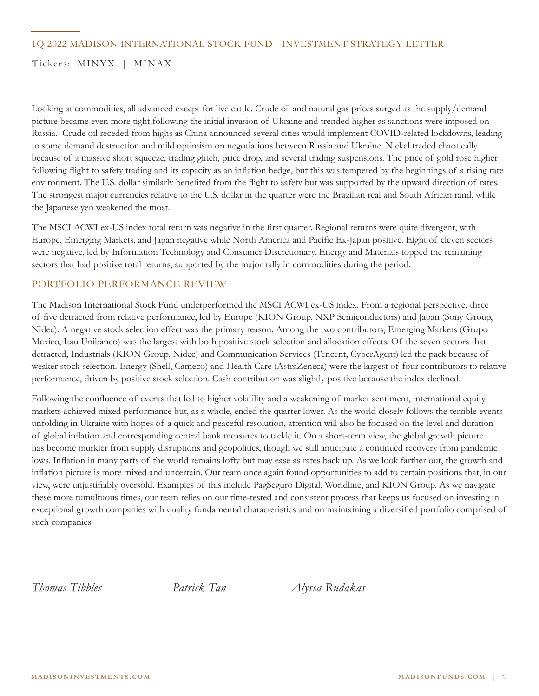### 1Q 2022 MADISON INTERNATIONAL STOCK FUND - INVESTMENT STRATEGY LETTER

### Tickers: MINYX | MINAX

Looking at commodities, all advanced except for live cattle. Crude oil and natural gas prices surged as the supply/demand picture became even more tight following the initial invasion of Ukraine and trended higher as sanctions were imposed on Russia. Crude oil receded from highs as China announced several cities would implement COVID-related lockdowns, leading to some demand destruction and mild optimism on negotiations between Russia and Ukraine. Nickel traded chaotically because of a massive short squeeze, trading glitch, price drop, and several trading suspensions. The price of gold rose higher following flight to safety trading and its capacity as an inflation hedge, but this was tempered by the beginnings of a rising rate environment. The U.S. dollar similarly benefited from the flight to safety but was supported by the upward direction of rates. The strongest major currencies relative to the U.S. dollar in the quarter were the Brazilian real and South African rand, while the Japanese yen weakened the most.

The MSCI ACWI ex-US index total return was negative in the first quarter. Regional returns were quite divergent, with Europe, Emerging Markets, and Japan negative while North America and Pacific Ex-Japan positive. Eight of eleven sectors were negative, led by Information Technology and Consumer Discretionary. Energy and Materials topped the remaining sectors that had positive total returns, supported by the major rally in commodities during the period.

### PORTFOLIO PERFORMANCE REVIEW

The Madison International Stock Fund underperformed the MSCI ACWI ex-US index. From a regional perspective, three of five detracted from relative performance, led by Europe (KION Group, NXP Semiconductors) and Japan (Sony Group, Nidec). A negative stock selection effect was the primary reason. Among the two contributors, Emerging Markets (Grupo Mexico, Itau Unibanco) was the largest with both positive stock selection and allocation effects. Of the seven sectors that detracted, Industrials (KION Group, Nidec) and Communication Services (Tencent, CyberAgent) led the pack because of weaker stock selection. Energy (Shell, Cameco) and Health Care (AstraZeneca) were the largest of four contributors to relative performance, driven by positive stock selection. Cash contribution was slightly positive because the index declined.

Following the confluence of events that led to higher volatility and a weakening of market sentiment, international equity markets achieved mixed performance but, as a whole, ended the quarter lower. As the world closely follows the terrible events unfolding in Ukraine with hopes of a quick and peaceful resolution, attention will also be focused on the level and duration of global inflation and corresponding central bank measures to tackle it. On a short-term view, the global growth picture has become murkier from supply disruptions and geopolitics, though we still anticipate a continued recovery from pandemic lows. Inflation in many parts of the world remains lofty but may ease as rates back up. As we look farther out, the growth and inflation picture is more mixed and uncertain. Our team once again found opportunities to add to certain positions that, in our view, were unjustifiably oversold. Examples of this include PagSeguro Digital, Worldline, and KION Group. As we navigate these more tumultuous times, our team relies on our time-tested and consistent process that keeps us focused on investing in exceptional growth companies with quality fundamental characteristics and on maintaining a diversified portfolio comprised of such companies.

*Thomas Tibbles Patrick Tan Alyssa Rudakas*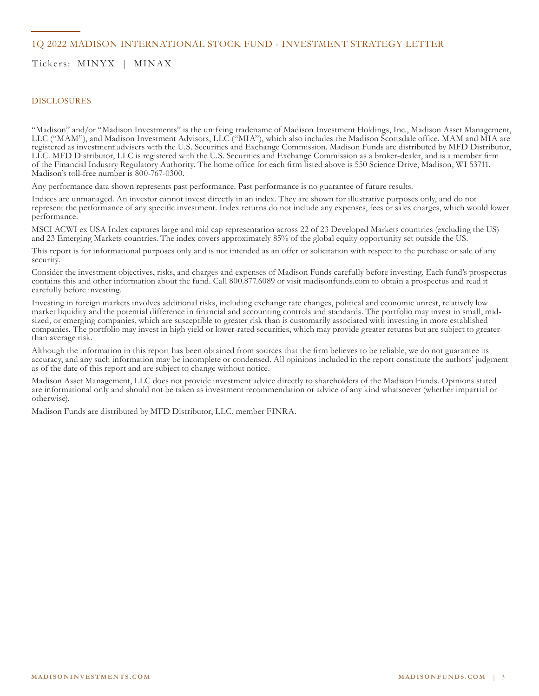### 1Q 2022 MADISON INTERNATIONAL STOCK FUND - INVESTMENT STRATEGY LETTER

Tickers: MINYX | MINAX

#### DISCLOSURES

"Madison" and/or "Madison Investments" is the unifying tradename of Madison Investment Holdings, Inc., Madison Asset Management, LLC ("MAM"), and Madison Investment Advisors, LLC ("MIA"), which also includes the Madison Scottsdale office. MAM and MIA are registered as investment advisers with the U.S. Securities and Exchange Commission. Madison Funds are distributed by MFD Distributor, LLC. MFD Distributor, LLC is registered with the U.S. Securities and Exchange Commission as a broker-dealer, and is a member firm of the Financial Industry Regulatory Authority. The home office for each firm listed above is 550 Science Drive, Madison, WI 53711. Madison's toll-free number is 800-767-0300.

Any performance data shown represents past performance. Past performance is no guarantee of future results.

Indices are unmanaged. An investor cannot invest directly in an index. They are shown for illustrative purposes only, and do not represent the performance of any specific investment. Index returns do not include any expenses, fees or sales charges, which would lower performance.

MSCI ACWI ex USA Index captures large and mid cap representation across 22 of 23 Developed Markets countries (excluding the US) and 23 Emerging Markets countries. The index covers approximately 85% of the global equity opportunity set outside the US.

This report is for informational purposes only and is not intended as an offer or solicitation with respect to the purchase or sale of any security.

Consider the investment objectives, risks, and charges and expenses of Madison Funds carefully before investing. Each fund's prospectus contains this and other information about the fund. Call 800.877.6089 or visit madisonfunds.com to obtain a prospectus and read it carefully before investing.

Investing in foreign markets involves additional risks, including exchange rate changes, political and economic unrest, relatively low market liquidity and the potential difference in financial and accounting controls and standards. The portfolio may invest in small, midsized, or emerging companies, which are susceptible to greater risk than is customarily associated with investing in more established companies. The portfolio may invest in high yield or lower-rated securities, which may provide greater returns but are subject to greaterthan average risk.

Although the information in this report has been obtained from sources that the firm believes to be reliable, we do not guarantee its accuracy, and any such information may be incomplete or condensed. All opinions included in the report constitute the authors' judgment as of the date of this report and are subject to change without notice.

Madison Asset Management, LLC does not provide investment advice directly to shareholders of the Madison Funds. Opinions stated are informational only and should not be taken as investment recommendation or advice of any kind whatsoever (whether impartial or otherwise).

Madison Funds are distributed by MFD Distributor, LLC, member FINRA.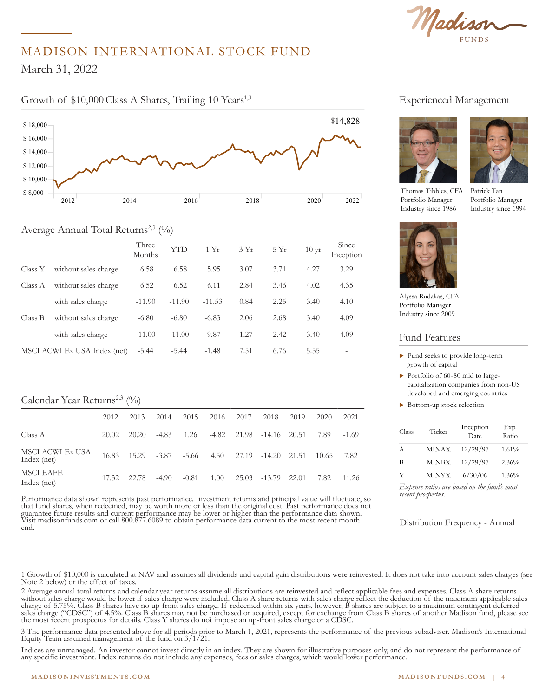Madison

# MADISON INTERNATIONAL STOCK FUND

 $\arch 31, 2022$  $55,000$ March 31, 2022

\$ 16,000

### Growth of \$10,000 Class A Shares, Trailing 10 Years<sup>1,3</sup>



### Average Annual Total Returns<sup>2,3</sup> (%)

|         |                              | Three<br>Months | YTD      | 1 Yr     | 3Yr  | 5Yr  | $10 \,\text{yr}$ | Since<br>Inception       |
|---------|------------------------------|-----------------|----------|----------|------|------|------------------|--------------------------|
| Class Y | without sales charge         | $-6.58$         | $-6.58$  | $-5.95$  | 3.07 | 3.71 | 4.27             | 3.29                     |
| Class A | without sales charge         | $-6.52$         | $-6.52$  | $-6.11$  | 2.84 | 3.46 | 4.02             | 4.35                     |
|         | with sales charge            | $-11.90$        | $-11.90$ | $-11.53$ | 0.84 | 2.25 | 3.40             | 4.10                     |
| Class B | without sales charge         | $-6.80$         | $-6.80$  | $-6.83$  | 2.06 | 2.68 | 3.40             | 4.09                     |
|         | with sales charge            | $-11.00$        | $-11.00$ | $-9.87$  | 1.27 | 2.42 | 3.40             | 4.09                     |
|         | MSCI ACWI Ex USA Index (net) | $-5.44$         | $-5.44$  | $-1.48$  | 7.51 | 6.76 | 5.55             | $\overline{\phantom{a}}$ |
|         |                              |                 |          |          |      |      |                  |                          |

### Calendar Year Returns<sup>2,3</sup>  $(%$

|                                 | 2012  | 2013        | 2014  | 2015    | 2016 2017 | 2018                                                   | 2019 | 2020  | 2021    |
|---------------------------------|-------|-------------|-------|---------|-----------|--------------------------------------------------------|------|-------|---------|
| Class A                         | 20.02 | 20.20       | -4.83 |         |           | 1.26 -4.82 21.98 -14.16 20.51                          |      | 7.89  | $-1.69$ |
| MSCI ACWI Ex USA<br>Index (net) |       |             |       |         |           | 16.83  15.29  -3.87  -5.66  4.50  27.19  -14.20  21.51 |      | 10.65 | 7.82    |
| MSCI EAFE<br>Index (net)        |       | 17.32 22.78 | -4.90 | $-0.81$ | 1.00      | 25.03 -13.79 22.01                                     |      | 7.82  | 11.26   |

Performance data shown represents past performance. Investment returns and principal value will fluctuate, so that fund shares, when redeemed, may be worth more or less than the original cost. Past performance does not guarantee future results and current performance may be lower or higher than the performance data shown. Visit madisonfunds.com or call 800.877.6089 to obtain performance data current to the most recent monthend.

### Experienced Management





Thomas Tibbles, CFA Portfolio Manager Industry since 1986

Patrick Tan Portfolio Manager Industry since 1994



Alyssa Rudakas, CFA Portfolio Manager Industry since 2009

#### Fund Features

- $\blacktriangleright$  Fund seeks to provide long-term growth of capital
- $\triangleright$  Portfolio of 60-80 mid to largecapitalization companies from non-US developed and emerging countries
- $\blacktriangleright$  Bottom-up stock selection

| Class | Ticker       | Inception<br>Date. | Exp.<br>Ratio |
|-------|--------------|--------------------|---------------|
| A     | <b>MINAX</b> | 12/29/97           | 1.61%         |
| B     | <b>MINBX</b> | 12/29/97           | 2.36%         |
|       | <b>MINYX</b> | 6/30/06            | 1.36%         |

*Expense ratios are based on the fund's most recent prospectus.*

Distribution Frequency - Annual

1 Growth of \$10,000 is calculated at NAV and assumes all dividends and capital gain distributions were reinvested. It does not take into account sales charges (see Note 2 below) or the effect of taxes.

2 Average annual total returns and calendar year returns assume all distributions are reinvested and reflect applicable fees and expenses. Class A share returns without sales charge would be lower if sales charge were included. Class A share returns with sales charge reflect the deduction of the maximum applicable sales charge of 5.75%. Class B shares have no up-front sales charge. If redeemed within six years, however, B shares are subject to a maximum contingent deferred sales charge ("CDSC") of 4.5%. Class B shares may not be purchased or acquired, except for exchange from Class B shares of another Madison fund, please see the most recent prospectus for details. Class Y shares do not impose an up-front sales charge or a CDSC.

3 The performance data presented above for all periods prior to March 1, 2021, represents the performance of the previous subadviser. Madison's International Equity Team assumed management of the fund on  $3/1/21$ .

Indices are unmanaged. An investor cannot invest directly in an index. They are shown for illustrative purposes only, and do not represent the performance of any specific investment. Index returns do not include any expenses, fees or sales charges, which would lower performance.